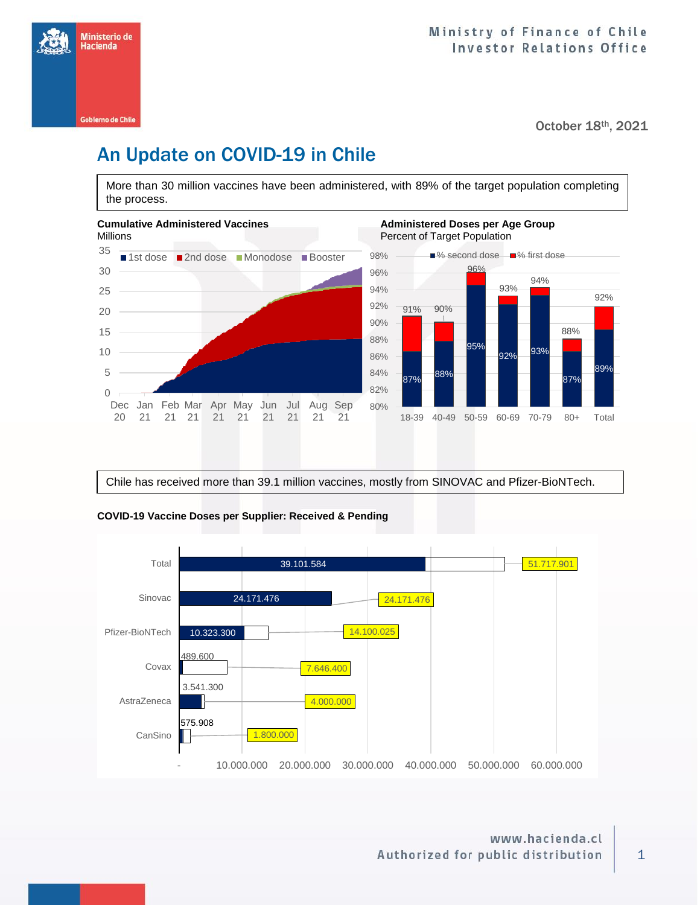

October 18th, 2021

# An Update on COVID-19 in Chile

More than 30 million vaccines have been administered, with 89% of the target population completing the process.



Chile has received more than 39.1 million vaccines, mostly from SINOVAC and Pfizer-BioNTech.



### **COVID-19 Vaccine Doses per Supplier: Received & Pending**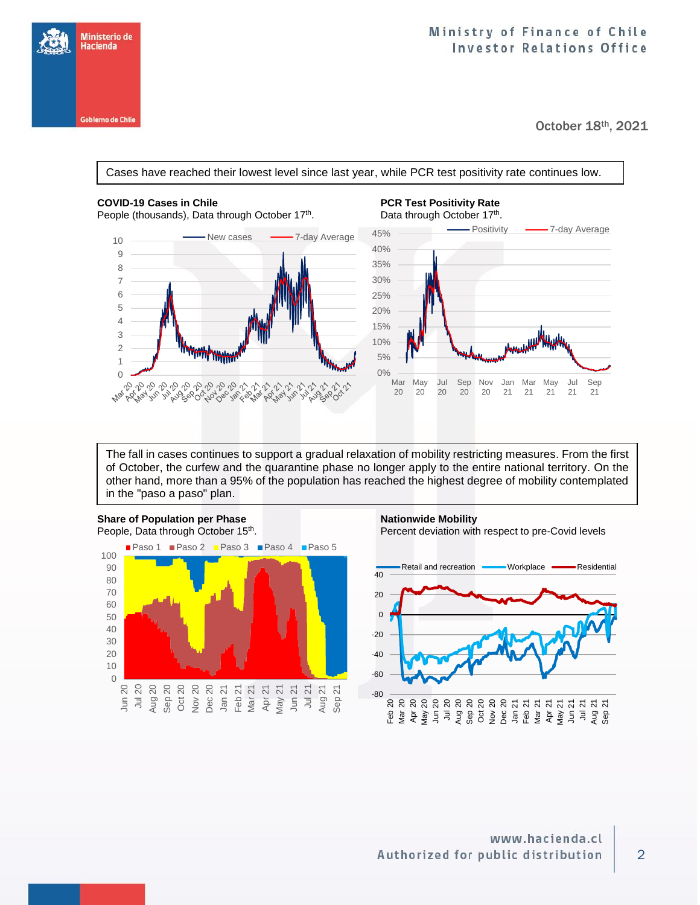

October 18th, 2021





The fall in cases continues to support a gradual relaxation of mobility restricting measures. From the first of October, the curfew and the quarantine phase no longer apply to the entire national territory. On the other hand, more than a 95% of the population has reached the highest degree of mobility contemplated in the "paso a paso" plan.



Sep 20 Oct 20 Nov 20 Dec 20 Jan 21 Feb 21 Mar 21 Apr 21 May 21 Jun 21 Jul 21 Aug 21 Sep 21

> Jun 20 Jul 20 Aug 20

. Percent deviation with respect to pre-Covid levels